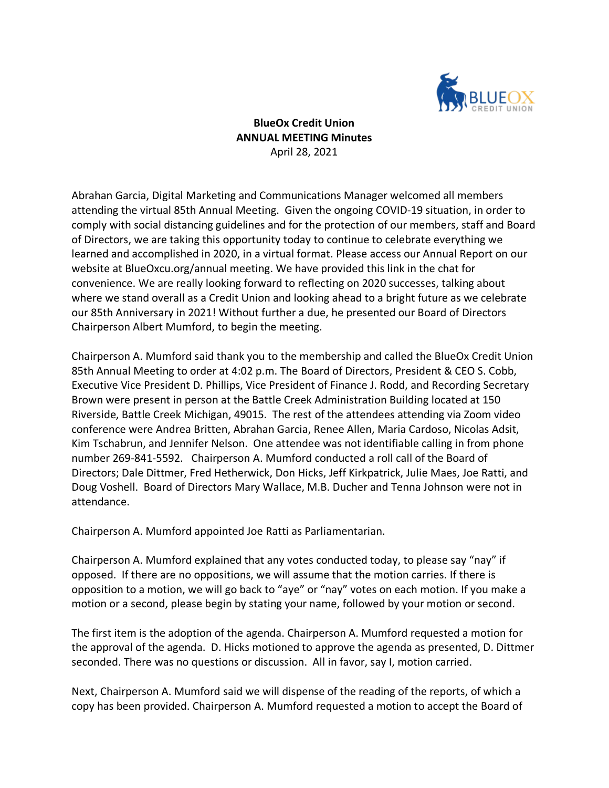

**BlueOx Credit Union ANNUAL MEETING Minutes** April 28, 2021

Abrahan Garcia, Digital Marketing and Communications Manager welcomed all members attending the virtual 85th Annual Meeting. Given the ongoing COVID-19 situation, in order to comply with social distancing guidelines and for the protection of our members, staff and Board of Directors, we are taking this opportunity today to continue to celebrate everything we learned and accomplished in 2020, in a virtual format. Please access our Annual Report on our website at BlueOxcu.org/annual meeting. We have provided this link in the chat for convenience. We are really looking forward to reflecting on 2020 successes, talking about where we stand overall as a Credit Union and looking ahead to a bright future as we celebrate our 85th Anniversary in 2021! Without further a due, he presented our Board of Directors Chairperson Albert Mumford, to begin the meeting.

Chairperson A. Mumford said thank you to the membership and called the BlueOx Credit Union 85th Annual Meeting to order at 4:02 p.m. The Board of Directors, President & CEO S. Cobb, Executive Vice President D. Phillips, Vice President of Finance J. Rodd, and Recording Secretary Brown were present in person at the Battle Creek Administration Building located at 150 Riverside, Battle Creek Michigan, 49015. The rest of the attendees attending via Zoom video conference were Andrea Britten, Abrahan Garcia, Renee Allen, Maria Cardoso, Nicolas Adsit, Kim Tschabrun, and Jennifer Nelson. One attendee was not identifiable calling in from phone number 269-841-5592. Chairperson A. Mumford conducted a roll call of the Board of Directors; Dale Dittmer, Fred Hetherwick, Don Hicks, Jeff Kirkpatrick, Julie Maes, Joe Ratti, and Doug Voshell. Board of Directors Mary Wallace, M.B. Ducher and Tenna Johnson were not in attendance.

Chairperson A. Mumford appointed Joe Ratti as Parliamentarian.

Chairperson A. Mumford explained that any votes conducted today, to please say "nay" if opposed. If there are no oppositions, we will assume that the motion carries. If there is opposition to a motion, we will go back to "aye" or "nay" votes on each motion. If you make a motion or a second, please begin by stating your name, followed by your motion or second.

The first item is the adoption of the agenda. Chairperson A. Mumford requested a motion for the approval of the agenda. D. Hicks motioned to approve the agenda as presented, D. Dittmer seconded. There was no questions or discussion. All in favor, say I, motion carried.

Next, Chairperson A. Mumford said we will dispense of the reading of the reports, of which a copy has been provided. Chairperson A. Mumford requested a motion to accept the Board of